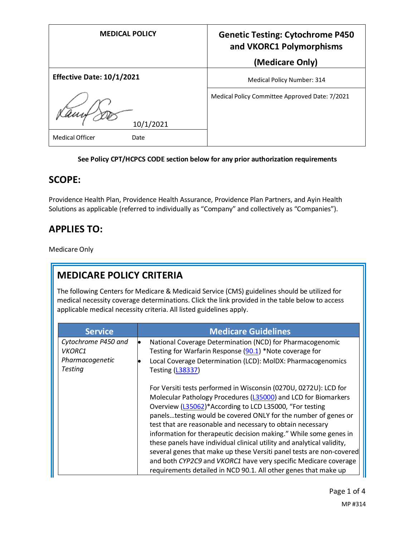| <b>MEDICAL POLICY</b>            | <b>Genetic Testing: Cytochrome P450</b><br>and VKORC1 Polymorphisms<br>(Medicare Only) |
|----------------------------------|----------------------------------------------------------------------------------------|
| <b>Effective Date: 10/1/2021</b> | Medical Policy Number: 314                                                             |
| 10/1/2021                        | Medical Policy Committee Approved Date: 7/2021                                         |
| <b>Medical Officer</b><br>Date   |                                                                                        |

#### **See Policy CPT/HCPCS CODE section below for any prior authorization requirements**

## **SCOPE:**

Providence Health Plan, Providence Health Assurance, Providence Plan Partners, and Ayin Health Solutions as applicable (referred to individually as "Company" and collectively as "Companies").

## **APPLIES TO:**

Medicare Only

## **MEDICARE POLICY CRITERIA**

The following Centers for Medicare & Medicaid Service (CMS) guidelines should be utilized for medical necessity coverage determinations. Click the link provided in the table below to access applicable medical necessity criteria. All listed guidelines apply.

| <b>Service</b>                                                            | <b>Medicare Guidelines</b>                                                                                                                                                                                                                                                                                                                                                                                                                                                                                                                                                                                                                                                                 |
|---------------------------------------------------------------------------|--------------------------------------------------------------------------------------------------------------------------------------------------------------------------------------------------------------------------------------------------------------------------------------------------------------------------------------------------------------------------------------------------------------------------------------------------------------------------------------------------------------------------------------------------------------------------------------------------------------------------------------------------------------------------------------------|
| Cytochrome P450 and<br><b>VKORC1</b><br>Pharmacogenetic<br><b>Testing</b> | National Coverage Determination (NCD) for Pharmacogenomic<br>lo<br>Testing for Warfarin Response (90.1) *Note coverage for<br>Local Coverage Determination (LCD): MoIDX: Pharmacogenomics<br><b>Testing (L38337)</b>                                                                                                                                                                                                                                                                                                                                                                                                                                                                       |
|                                                                           | For Versiti tests performed in Wisconsin (0270U, 0272U): LCD for<br>Molecular Pathology Procedures (L35000) and LCD for Biomarkers<br>Overview (L35062)*According to LCD L35000, "For testing<br>panelstesting would be covered ONLY for the number of genes or<br>test that are reasonable and necessary to obtain necessary<br>information for therapeutic decision making." While some genes in<br>these panels have individual clinical utility and analytical validity,<br>several genes that make up these Versiti panel tests are non-covered<br>and both CYP2C9 and VKORC1 have very specific Medicare coverage<br>requirements detailed in NCD 90.1. All other genes that make up |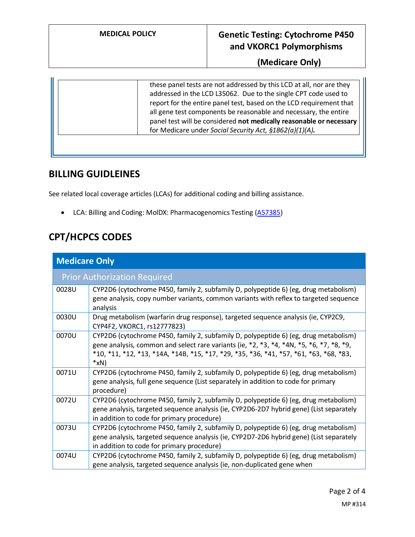## **MEDICAL POLICY Genetic Testing: Cytochrome P450 and VKORC1 Polymorphisms**

**(Medicare Only)**

|--|

#### **BILLING GUIDLEINES**

See related local coverage articles (LCAs) for additional coding and billing assistance.

• LCA: Billing and Coding: MolDX: Pharmacogenomics Testing [\(A57385\)](https://www.cms.gov/medicare-coverage-database/details/article-details.aspx?articleId=57385)

## **CPT/HCPCS CODES**

| <b>Medicare Only</b>                |                                                                                                                                                                                                                                                                                                                    |  |
|-------------------------------------|--------------------------------------------------------------------------------------------------------------------------------------------------------------------------------------------------------------------------------------------------------------------------------------------------------------------|--|
| <b>Prior Authorization Required</b> |                                                                                                                                                                                                                                                                                                                    |  |
| 0028U                               | CYP2D6 (cytochrome P450, family 2, subfamily D, polypeptide 6) (eg, drug metabolism)<br>gene analysis, copy number variants, common variants with reflex to targeted sequence<br>analysis                                                                                                                          |  |
| 0030U                               | Drug metabolism (warfarin drug response), targeted sequence analysis (ie, CYP2C9,<br>CYP4F2, VKORC1, rs12777823)                                                                                                                                                                                                   |  |
| 0070U                               | CYP2D6 (cytochrome P450, family 2, subfamily D, polypeptide 6) (eg, drug metabolism)<br>gene analysis, common and select rare variants (ie, $*2$ , $*3$ , $*4$ , $*4N$ , $*5$ , $*6$ , $*7$ , $*8$ , $*9$ ,<br>*10, *11, *12, *13, *14A, *14B, *15, *17, *29, *35, *36, *41, *57, *61, *63, *68, *83,<br>$*_{X}N)$ |  |
| 0071U                               | CYP2D6 (cytochrome P450, family 2, subfamily D, polypeptide 6) (eg, drug metabolism)<br>gene analysis, full gene sequence (List separately in addition to code for primary<br>procedure)                                                                                                                           |  |
| 0072U                               | CYP2D6 (cytochrome P450, family 2, subfamily D, polypeptide 6) (eg, drug metabolism)<br>gene analysis, targeted sequence analysis (ie, CYP2D6-2D7 hybrid gene) (List separately<br>in addition to code for primary procedure)                                                                                      |  |
| 0073U                               | CYP2D6 (cytochrome P450, family 2, subfamily D, polypeptide 6) (eg, drug metabolism)<br>gene analysis, targeted sequence analysis (ie, CYP2D7-2D6 hybrid gene) (List separately<br>in addition to code for primary procedure)                                                                                      |  |
| 0074U                               | CYP2D6 (cytochrome P450, family 2, subfamily D, polypeptide 6) (eg, drug metabolism)<br>gene analysis, targeted sequence analysis (ie, non-duplicated gene when                                                                                                                                                    |  |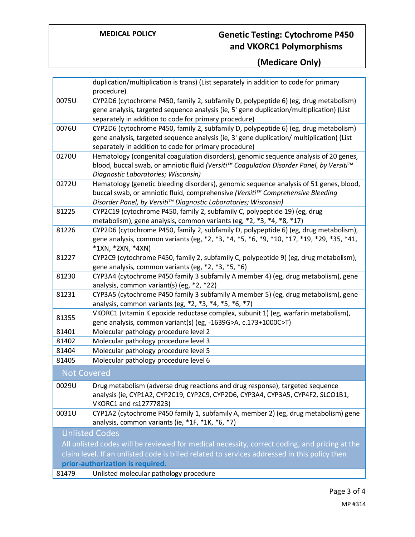# **MEDICAL POLICY Genetic Testing: Cytochrome P450 and VKORC1 Polymorphisms**

# **(Medicare Only)**

|                                                                                               | duplication/multiplication is trans) (List separately in addition to code for primary                                                                                            |  |
|-----------------------------------------------------------------------------------------------|----------------------------------------------------------------------------------------------------------------------------------------------------------------------------------|--|
|                                                                                               | procedure)                                                                                                                                                                       |  |
| 0075U                                                                                         | CYP2D6 (cytochrome P450, family 2, subfamily D, polypeptide 6) (eg, drug metabolism)                                                                                             |  |
|                                                                                               | gene analysis, targeted sequence analysis (ie, 5' gene duplication/multiplication) (List                                                                                         |  |
|                                                                                               | separately in addition to code for primary procedure)                                                                                                                            |  |
| 0076U                                                                                         | CYP2D6 (cytochrome P450, family 2, subfamily D, polypeptide 6) (eg, drug metabolism)                                                                                             |  |
|                                                                                               | gene analysis, targeted sequence analysis (ie, 3' gene duplication/ multiplication) (List                                                                                        |  |
| 0270U                                                                                         | separately in addition to code for primary procedure)                                                                                                                            |  |
|                                                                                               | Hematology (congenital coagulation disorders), genomic sequence analysis of 20 genes,<br>blood, buccal swab, or amniotic fluid (Versiti™ Coagulation Disorder Panel, by Versiti™ |  |
|                                                                                               | Diagnostic Laboratories; Wisconsin)                                                                                                                                              |  |
| 0272U                                                                                         | Hematology (genetic bleeding disorders), genomic sequence analysis of 51 genes, blood,                                                                                           |  |
|                                                                                               | buccal swab, or amniotic fluid, comprehensive (Versiti™ Comprehensive Bleeding                                                                                                   |  |
|                                                                                               | Disorder Panel, by Versiti™ Diagnostic Laboratories; Wisconsin)                                                                                                                  |  |
| 81225                                                                                         | CYP2C19 (cytochrome P450, family 2, subfamily C, polypeptide 19) (eg, drug                                                                                                       |  |
|                                                                                               | metabolism), gene analysis, common variants (eg, *2, *3, *4, *8, *17)                                                                                                            |  |
| 81226                                                                                         | CYP2D6 (cytochrome P450, family 2, subfamily D, polypeptide 6) (eg, drug metabolism),                                                                                            |  |
|                                                                                               | gene analysis, common variants (eg, *2, *3, *4, *5, *6, *9, *10, *17, *19, *29, *35, *41,                                                                                        |  |
|                                                                                               | *1XN, *2XN, *4XN)                                                                                                                                                                |  |
| 81227                                                                                         | CYP2C9 (cytochrome P450, family 2, subfamily C, polypeptide 9) (eg, drug metabolism),                                                                                            |  |
|                                                                                               | gene analysis, common variants (eg, *2, *3, *5, *6)                                                                                                                              |  |
| 81230                                                                                         | CYP3A4 (cytochrome P450 family 3 subfamily A member 4) (eg, drug metabolism), gene                                                                                               |  |
|                                                                                               | analysis, common variant(s) (eg, *2, *22)                                                                                                                                        |  |
| 81231                                                                                         | CYP3A5 (cytochrome P450 family 3 subfamily A member 5) (eg, drug metabolism), gene                                                                                               |  |
|                                                                                               | analysis, common variants (eg, *2, *3, *4, *5, *6, *7)<br>VKORC1 (vitamin K epoxide reductase complex, subunit 1) (eg, warfarin metabolism),                                     |  |
| 81355                                                                                         | gene analysis, common variant(s) (eg, -1639G>A, c.173+1000C>T)                                                                                                                   |  |
| 81401                                                                                         | Molecular pathology procedure level 2                                                                                                                                            |  |
| 81402                                                                                         | Molecular pathology procedure level 3                                                                                                                                            |  |
| 81404                                                                                         | Molecular pathology procedure level 5                                                                                                                                            |  |
| 81405                                                                                         | Molecular pathology procedure level 6                                                                                                                                            |  |
| <b>Not Covered</b>                                                                            |                                                                                                                                                                                  |  |
|                                                                                               |                                                                                                                                                                                  |  |
| 0029U                                                                                         | Drug metabolism (adverse drug reactions and drug response), targeted sequence                                                                                                    |  |
|                                                                                               | analysis (ie, CYP1A2, CYP2C19, CYP2C9, CYP2D6, CYP3A4, CYP3A5, CYP4F2, SLCO1B1,                                                                                                  |  |
|                                                                                               | VKORC1 and rs12777823)                                                                                                                                                           |  |
| 0031U                                                                                         | CYP1A2 (cytochrome P450 family 1, subfamily A, member 2) (eg, drug metabolism) gene<br>analysis, common variants (ie, *1F, *1K, *6, *7)                                          |  |
|                                                                                               |                                                                                                                                                                                  |  |
| <b>Unlisted Codes</b>                                                                         |                                                                                                                                                                                  |  |
| All unlisted codes will be reviewed for medical necessity, correct coding, and pricing at the |                                                                                                                                                                                  |  |
| claim level. If an unlisted code is billed related to services addressed in this policy then  |                                                                                                                                                                                  |  |
| prior-authorization is required.                                                              |                                                                                                                                                                                  |  |
| 81479                                                                                         | Unlisted molecular pathology procedure                                                                                                                                           |  |